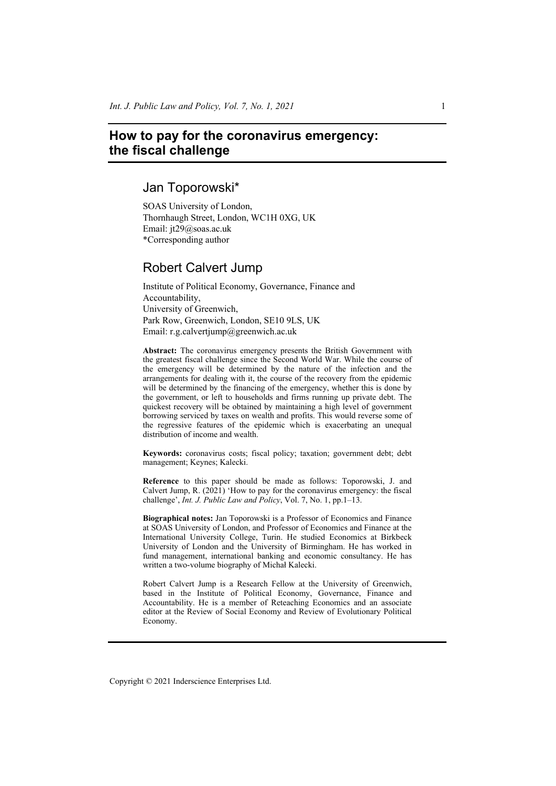# **How to pay for the coronavirus emergency: the fiscal challenge**

# Jan Toporowski\*

SOAS University of London, Thornhaugh Street, London, WC1H 0XG, UK Email: jt29@soas.ac.uk \*Corresponding author

# Robert Calvert Jump

Institute of Political Economy, Governance, Finance and Accountability, University of Greenwich, Park Row, Greenwich, London, SE10 9LS, UK Email: r.g.calvertjump@greenwich.ac.uk

**Abstract:** The coronavirus emergency presents the British Government with the greatest fiscal challenge since the Second World War. While the course of the emergency will be determined by the nature of the infection and the arrangements for dealing with it, the course of the recovery from the epidemic will be determined by the financing of the emergency, whether this is done by the government, or left to households and firms running up private debt. The quickest recovery will be obtained by maintaining a high level of government borrowing serviced by taxes on wealth and profits. This would reverse some of the regressive features of the epidemic which is exacerbating an unequal distribution of income and wealth.

**Keywords:** coronavirus costs; fiscal policy; taxation; government debt; debt management; Keynes; Kalecki.

**Reference** to this paper should be made as follows: Toporowski, J. and Calvert Jump, R. (2021) 'How to pay for the coronavirus emergency: the fiscal challenge', *Int. J. Public Law and Policy*, Vol. 7, No. 1, pp.1–13.

**Biographical notes:** Jan Toporowski is a Professor of Economics and Finance at SOAS University of London, and Professor of Economics and Finance at the International University College, Turin. He studied Economics at Birkbeck University of London and the University of Birmingham. He has worked in fund management, international banking and economic consultancy. He has written a two-volume biography of Michał Kalecki.

Robert Calvert Jump is a Research Fellow at the University of Greenwich, based in the Institute of Political Economy, Governance, Finance and Accountability. He is a member of Reteaching Economics and an associate editor at the Review of Social Economy and Review of Evolutionary Political Economy.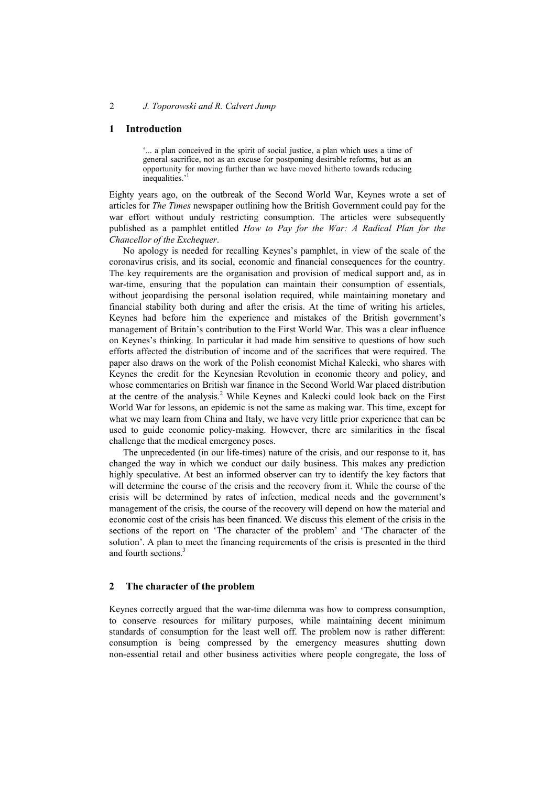#### **1 Introduction**

'... a plan conceived in the spirit of social justice, a plan which uses a time of general sacrifice, not as an excuse for postponing desirable reforms, but as an opportunity for moving further than we have moved hitherto towards reducing inequalities.<sup>1</sup>

Eighty years ago, on the outbreak of the Second World War, Keynes wrote a set of articles for *The Times* newspaper outlining how the British Government could pay for the war effort without unduly restricting consumption. The articles were subsequently published as a pamphlet entitled *How to Pay for the War: A Radical Plan for the Chancellor of the Exchequer*.

No apology is needed for recalling Keynes's pamphlet, in view of the scale of the coronavirus crisis, and its social, economic and financial consequences for the country. The key requirements are the organisation and provision of medical support and, as in war-time, ensuring that the population can maintain their consumption of essentials, without jeopardising the personal isolation required, while maintaining monetary and financial stability both during and after the crisis. At the time of writing his articles, Keynes had before him the experience and mistakes of the British government's management of Britain's contribution to the First World War. This was a clear influence on Keynes's thinking. In particular it had made him sensitive to questions of how such efforts affected the distribution of income and of the sacrifices that were required. The paper also draws on the work of the Polish economist Michał Kalecki, who shares with Keynes the credit for the Keynesian Revolution in economic theory and policy, and whose commentaries on British war finance in the Second World War placed distribution at the centre of the analysis.<sup>2</sup> While Keynes and Kalecki could look back on the First World War for lessons, an epidemic is not the same as making war. This time, except for what we may learn from China and Italy, we have very little prior experience that can be used to guide economic policy-making. However, there are similarities in the fiscal challenge that the medical emergency poses.

The unprecedented (in our life-times) nature of the crisis, and our response to it, has changed the way in which we conduct our daily business. This makes any prediction highly speculative. At best an informed observer can try to identify the key factors that will determine the course of the crisis and the recovery from it. While the course of the crisis will be determined by rates of infection, medical needs and the government's management of the crisis, the course of the recovery will depend on how the material and economic cost of the crisis has been financed. We discuss this element of the crisis in the sections of the report on 'The character of the problem' and 'The character of the solution'. A plan to meet the financing requirements of the crisis is presented in the third and fourth sections.3

#### **2 The character of the problem**

Keynes correctly argued that the war-time dilemma was how to compress consumption, to conserve resources for military purposes, while maintaining decent minimum standards of consumption for the least well off. The problem now is rather different: consumption is being compressed by the emergency measures shutting down non-essential retail and other business activities where people congregate, the loss of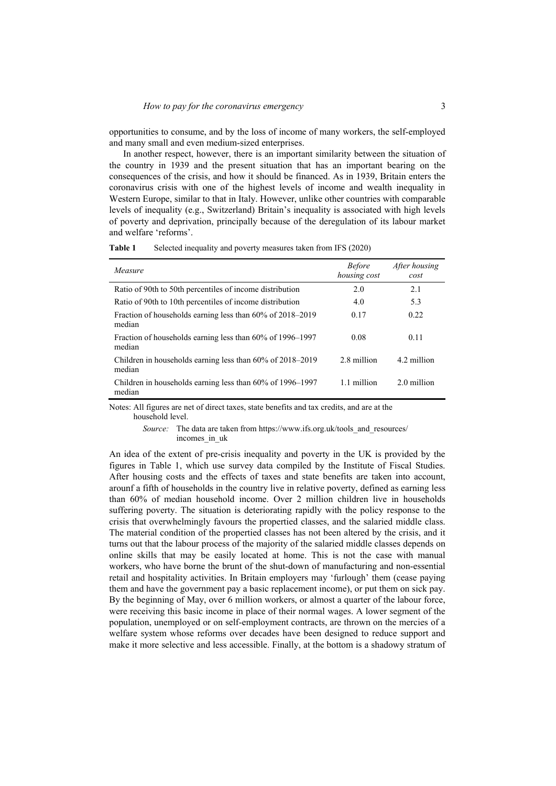opportunities to consume, and by the loss of income of many workers, the self-employed and many small and even medium-sized enterprises.

In another respect, however, there is an important similarity between the situation of the country in 1939 and the present situation that has an important bearing on the consequences of the crisis, and how it should be financed. As in 1939, Britain enters the coronavirus crisis with one of the highest levels of income and wealth inequality in Western Europe, similar to that in Italy. However, unlike other countries with comparable levels of inequality (e.g., Switzerland) Britain's inequality is associated with high levels of poverty and deprivation, principally because of the deregulation of its labour market and welfare 'reforms'.

| Measure                                                                  | <b>Before</b><br>housing cost | After housing<br>cost |
|--------------------------------------------------------------------------|-------------------------------|-----------------------|
| Ratio of 90th to 50th percentiles of income distribution                 | 2.0                           | 2.1                   |
| Ratio of 90th to 10th percentiles of income distribution                 | 4.0                           | 5.3                   |
| Fraction of households earning less than 60% of 2018–2019<br>median      | 0.17                          | 0.22                  |
| Fraction of households earning less than 60% of 1996-1997<br>median      | 0.08                          | 0.11                  |
| Children in households earning less than $60\%$ of $2018-2019$<br>median | 2.8 million                   | 4.2 million           |
| Children in households earning less than $60\%$ of 1996–1997<br>median   | 1.1 million                   | 2.0 million           |

**Table 1** Selected inequality and poverty measures taken from IFS (2020)

Notes: All figures are net of direct taxes, state benefits and tax credits, and are at the household level.

> *Source:* The data are taken from https://www.ifs.org.uk/tools\_and\_resources/ incomes in uk

An idea of the extent of pre-crisis inequality and poverty in the UK is provided by the figures in Table 1, which use survey data compiled by the Institute of Fiscal Studies. After housing costs and the effects of taxes and state benefits are taken into account, arounf a fifth of households in the country live in relative poverty, defined as earning less than 60% of median household income. Over 2 million children live in households suffering poverty. The situation is deteriorating rapidly with the policy response to the crisis that overwhelmingly favours the propertied classes, and the salaried middle class. The material condition of the propertied classes has not been altered by the crisis, and it turns out that the labour process of the majority of the salaried middle classes depends on online skills that may be easily located at home. This is not the case with manual workers, who have borne the brunt of the shut-down of manufacturing and non-essential retail and hospitality activities. In Britain employers may 'furlough' them (cease paying them and have the government pay a basic replacement income), or put them on sick pay. By the beginning of May, over 6 million workers, or almost a quarter of the labour force, were receiving this basic income in place of their normal wages. A lower segment of the population, unemployed or on self-employment contracts, are thrown on the mercies of a welfare system whose reforms over decades have been designed to reduce support and make it more selective and less accessible. Finally, at the bottom is a shadowy stratum of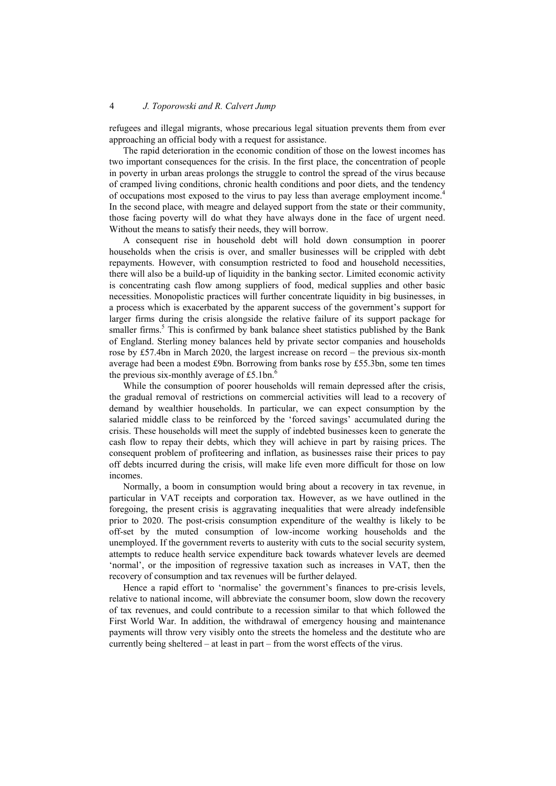refugees and illegal migrants, whose precarious legal situation prevents them from ever approaching an official body with a request for assistance.

The rapid deterioration in the economic condition of those on the lowest incomes has two important consequences for the crisis. In the first place, the concentration of people in poverty in urban areas prolongs the struggle to control the spread of the virus because of cramped living conditions, chronic health conditions and poor diets, and the tendency of occupations most exposed to the virus to pay less than average employment income.<sup>4</sup> In the second place, with meagre and delayed support from the state or their community, those facing poverty will do what they have always done in the face of urgent need. Without the means to satisfy their needs, they will borrow.

A consequent rise in household debt will hold down consumption in poorer households when the crisis is over, and smaller businesses will be crippled with debt repayments. However, with consumption restricted to food and household necessities, there will also be a build-up of liquidity in the banking sector. Limited economic activity is concentrating cash flow among suppliers of food, medical supplies and other basic necessities. Monopolistic practices will further concentrate liquidity in big businesses, in a process which is exacerbated by the apparent success of the government's support for larger firms during the crisis alongside the relative failure of its support package for smaller firms.<sup>5</sup> This is confirmed by bank balance sheet statistics published by the Bank of England. Sterling money balances held by private sector companies and households rose by £57.4bn in March 2020, the largest increase on record – the previous six-month average had been a modest £9bn. Borrowing from banks rose by £55.3bn, some ten times the previous six-monthly average of £5.1bn. $^6$ 

While the consumption of poorer households will remain depressed after the crisis, the gradual removal of restrictions on commercial activities will lead to a recovery of demand by wealthier households. In particular, we can expect consumption by the salaried middle class to be reinforced by the 'forced savings' accumulated during the crisis. These households will meet the supply of indebted businesses keen to generate the cash flow to repay their debts, which they will achieve in part by raising prices. The consequent problem of profiteering and inflation, as businesses raise their prices to pay off debts incurred during the crisis, will make life even more difficult for those on low incomes.

Normally, a boom in consumption would bring about a recovery in tax revenue, in particular in VAT receipts and corporation tax. However, as we have outlined in the foregoing, the present crisis is aggravating inequalities that were already indefensible prior to 2020. The post-crisis consumption expenditure of the wealthy is likely to be off-set by the muted consumption of low-income working households and the unemployed. If the government reverts to austerity with cuts to the social security system, attempts to reduce health service expenditure back towards whatever levels are deemed 'normal', or the imposition of regressive taxation such as increases in VAT, then the recovery of consumption and tax revenues will be further delayed.

Hence a rapid effort to 'normalise' the government's finances to pre-crisis levels, relative to national income, will abbreviate the consumer boom, slow down the recovery of tax revenues, and could contribute to a recession similar to that which followed the First World War. In addition, the withdrawal of emergency housing and maintenance payments will throw very visibly onto the streets the homeless and the destitute who are currently being sheltered – at least in part – from the worst effects of the virus.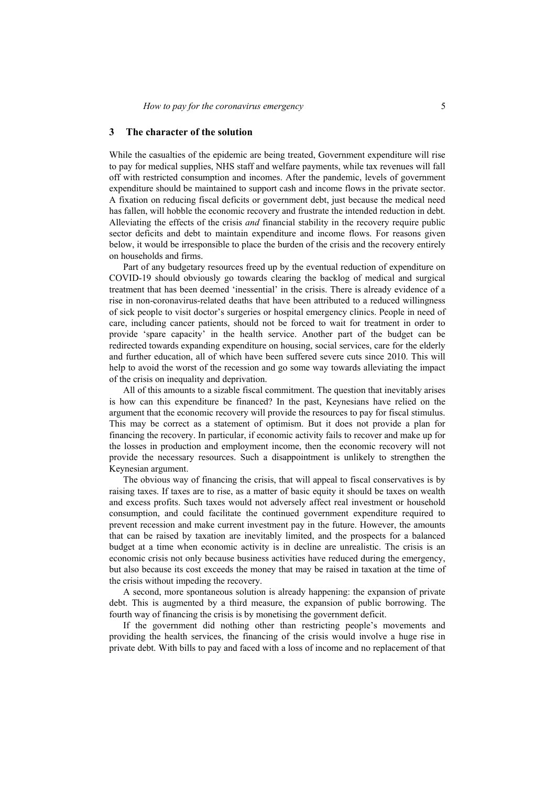### **3 The character of the solution**

While the casualties of the epidemic are being treated, Government expenditure will rise to pay for medical supplies, NHS staff and welfare payments, while tax revenues will fall off with restricted consumption and incomes. After the pandemic, levels of government expenditure should be maintained to support cash and income flows in the private sector. A fixation on reducing fiscal deficits or government debt, just because the medical need has fallen, will hobble the economic recovery and frustrate the intended reduction in debt. Alleviating the effects of the crisis *and* financial stability in the recovery require public sector deficits and debt to maintain expenditure and income flows. For reasons given below, it would be irresponsible to place the burden of the crisis and the recovery entirely on households and firms.

Part of any budgetary resources freed up by the eventual reduction of expenditure on COVID-19 should obviously go towards clearing the backlog of medical and surgical treatment that has been deemed 'inessential' in the crisis. There is already evidence of a rise in non-coronavirus-related deaths that have been attributed to a reduced willingness of sick people to visit doctor's surgeries or hospital emergency clinics. People in need of care, including cancer patients, should not be forced to wait for treatment in order to provide 'spare capacity' in the health service. Another part of the budget can be redirected towards expanding expenditure on housing, social services, care for the elderly and further education, all of which have been suffered severe cuts since 2010. This will help to avoid the worst of the recession and go some way towards alleviating the impact of the crisis on inequality and deprivation.

All of this amounts to a sizable fiscal commitment. The question that inevitably arises is how can this expenditure be financed? In the past, Keynesians have relied on the argument that the economic recovery will provide the resources to pay for fiscal stimulus. This may be correct as a statement of optimism. But it does not provide a plan for financing the recovery. In particular, if economic activity fails to recover and make up for the losses in production and employment income, then the economic recovery will not provide the necessary resources. Such a disappointment is unlikely to strengthen the Keynesian argument.

The obvious way of financing the crisis, that will appeal to fiscal conservatives is by raising taxes. If taxes are to rise, as a matter of basic equity it should be taxes on wealth and excess profits. Such taxes would not adversely affect real investment or household consumption, and could facilitate the continued government expenditure required to prevent recession and make current investment pay in the future. However, the amounts that can be raised by taxation are inevitably limited, and the prospects for a balanced budget at a time when economic activity is in decline are unrealistic. The crisis is an economic crisis not only because business activities have reduced during the emergency, but also because its cost exceeds the money that may be raised in taxation at the time of the crisis without impeding the recovery.

A second, more spontaneous solution is already happening: the expansion of private debt. This is augmented by a third measure, the expansion of public borrowing. The fourth way of financing the crisis is by monetising the government deficit.

If the government did nothing other than restricting people's movements and providing the health services, the financing of the crisis would involve a huge rise in private debt. With bills to pay and faced with a loss of income and no replacement of that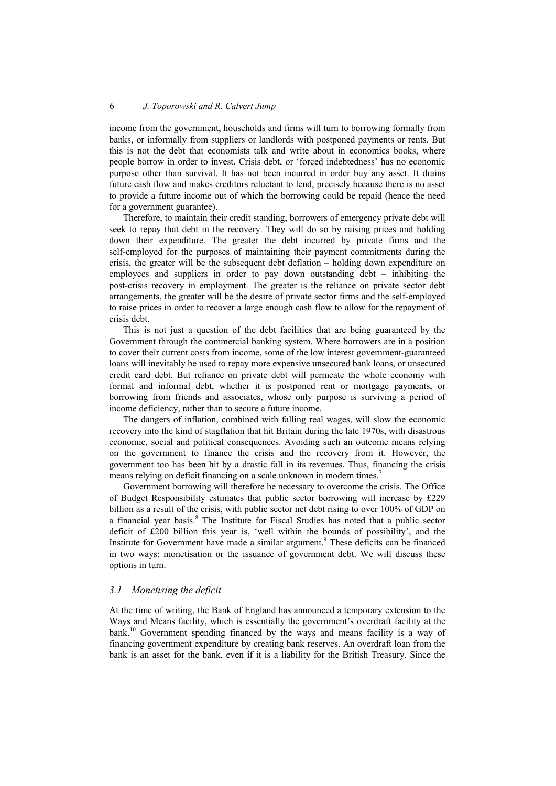income from the government, households and firms will turn to borrowing formally from banks, or informally from suppliers or landlords with postponed payments or rents. But this is not the debt that economists talk and write about in economics books, where people borrow in order to invest. Crisis debt, or 'forced indebtedness' has no economic purpose other than survival. It has not been incurred in order buy any asset. It drains future cash flow and makes creditors reluctant to lend, precisely because there is no asset to provide a future income out of which the borrowing could be repaid (hence the need for a government guarantee).

Therefore, to maintain their credit standing, borrowers of emergency private debt will seek to repay that debt in the recovery. They will do so by raising prices and holding down their expenditure. The greater the debt incurred by private firms and the self-employed for the purposes of maintaining their payment commitments during the crisis, the greater will be the subsequent debt deflation – holding down expenditure on employees and suppliers in order to pay down outstanding debt – inhibiting the post-crisis recovery in employment. The greater is the reliance on private sector debt arrangements, the greater will be the desire of private sector firms and the self-employed to raise prices in order to recover a large enough cash flow to allow for the repayment of crisis debt.

This is not just a question of the debt facilities that are being guaranteed by the Government through the commercial banking system. Where borrowers are in a position to cover their current costs from income, some of the low interest government-guaranteed loans will inevitably be used to repay more expensive unsecured bank loans, or unsecured credit card debt. But reliance on private debt will permeate the whole economy with formal and informal debt, whether it is postponed rent or mortgage payments, or borrowing from friends and associates, whose only purpose is surviving a period of income deficiency, rather than to secure a future income.

The dangers of inflation, combined with falling real wages, will slow the economic recovery into the kind of stagflation that hit Britain during the late 1970s, with disastrous economic, social and political consequences. Avoiding such an outcome means relying on the government to finance the crisis and the recovery from it. However, the government too has been hit by a drastic fall in its revenues. Thus, financing the crisis means relying on deficit financing on a scale unknown in modern times.<sup>7</sup>

Government borrowing will therefore be necessary to overcome the crisis. The Office of Budget Responsibility estimates that public sector borrowing will increase by £229 billion as a result of the crisis, with public sector net debt rising to over 100% of GDP on a financial year basis.<sup>8</sup> The Institute for Fiscal Studies has noted that a public sector deficit of £200 billion this year is, 'well within the bounds of possibility', and the Institute for Government have made a similar argument.<sup>9</sup> These deficits can be financed in two ways: monetisation or the issuance of government debt. We will discuss these options in turn.

#### *3.1 Monetising the deficit*

At the time of writing, the Bank of England has announced a temporary extension to the Ways and Means facility, which is essentially the government's overdraft facility at the bank.10 Government spending financed by the ways and means facility is a way of financing government expenditure by creating bank reserves. An overdraft loan from the bank is an asset for the bank, even if it is a liability for the British Treasury. Since the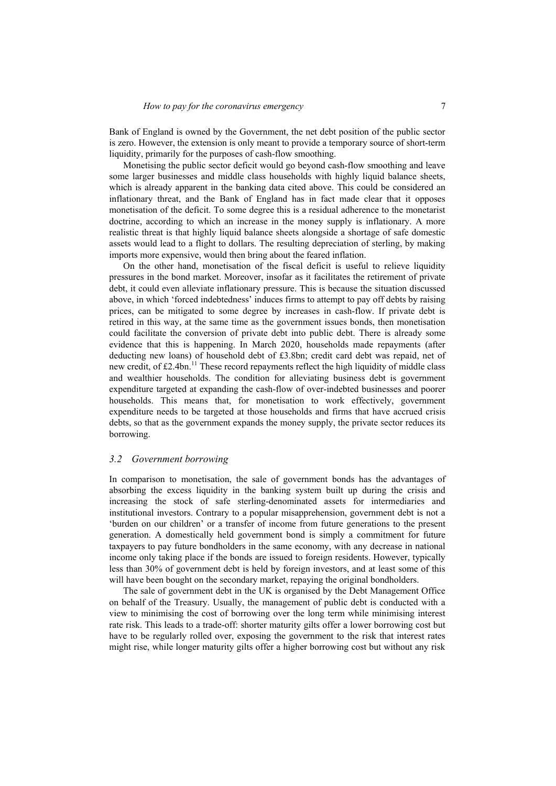Bank of England is owned by the Government, the net debt position of the public sector is zero. However, the extension is only meant to provide a temporary source of short-term liquidity, primarily for the purposes of cash-flow smoothing.

Monetising the public sector deficit would go beyond cash-flow smoothing and leave some larger businesses and middle class households with highly liquid balance sheets, which is already apparent in the banking data cited above. This could be considered an inflationary threat, and the Bank of England has in fact made clear that it opposes monetisation of the deficit. To some degree this is a residual adherence to the monetarist doctrine, according to which an increase in the money supply is inflationary. A more realistic threat is that highly liquid balance sheets alongside a shortage of safe domestic assets would lead to a flight to dollars. The resulting depreciation of sterling, by making imports more expensive, would then bring about the feared inflation.

On the other hand, monetisation of the fiscal deficit is useful to relieve liquidity pressures in the bond market. Moreover, insofar as it facilitates the retirement of private debt, it could even alleviate inflationary pressure. This is because the situation discussed above, in which 'forced indebtedness' induces firms to attempt to pay off debts by raising prices, can be mitigated to some degree by increases in cash-flow. If private debt is retired in this way, at the same time as the government issues bonds, then monetisation could facilitate the conversion of private debt into public debt. There is already some evidence that this is happening. In March 2020, households made repayments (after deducting new loans) of household debt of £3.8bn; credit card debt was repaid, net of new credit, of  $\text{\pounds}2.4$ bn.<sup>11</sup> These record repayments reflect the high liquidity of middle class and wealthier households. The condition for alleviating business debt is government expenditure targeted at expanding the cash-flow of over-indebted businesses and poorer households. This means that, for monetisation to work effectively, government expenditure needs to be targeted at those households and firms that have accrued crisis debts, so that as the government expands the money supply, the private sector reduces its borrowing.

#### *3.2 Government borrowing*

In comparison to monetisation, the sale of government bonds has the advantages of absorbing the excess liquidity in the banking system built up during the crisis and increasing the stock of safe sterling-denominated assets for intermediaries and institutional investors. Contrary to a popular misapprehension, government debt is not a 'burden on our children' or a transfer of income from future generations to the present generation. A domestically held government bond is simply a commitment for future taxpayers to pay future bondholders in the same economy, with any decrease in national income only taking place if the bonds are issued to foreign residents. However, typically less than 30% of government debt is held by foreign investors, and at least some of this will have been bought on the secondary market, repaying the original bondholders.

The sale of government debt in the UK is organised by the Debt Management Office on behalf of the Treasury. Usually, the management of public debt is conducted with a view to minimising the cost of borrowing over the long term while minimising interest rate risk. This leads to a trade-off: shorter maturity gilts offer a lower borrowing cost but have to be regularly rolled over, exposing the government to the risk that interest rates might rise, while longer maturity gilts offer a higher borrowing cost but without any risk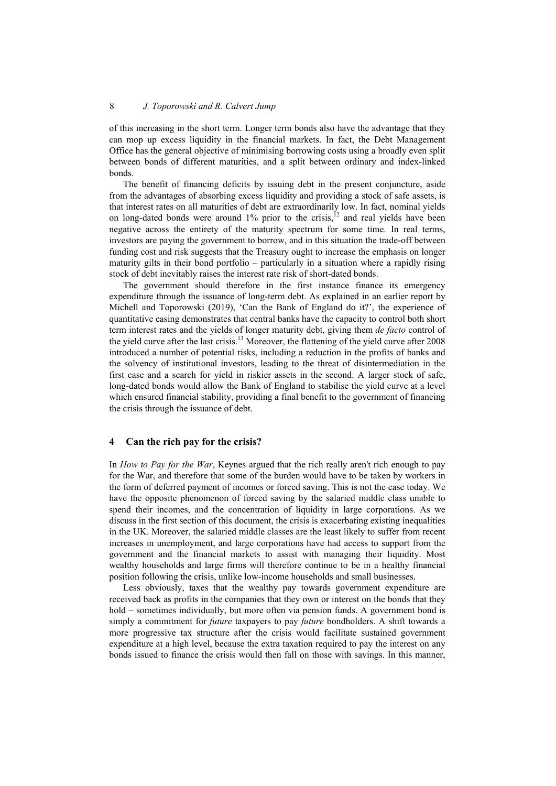of this increasing in the short term. Longer term bonds also have the advantage that they can mop up excess liquidity in the financial markets. In fact, the Debt Management Office has the general objective of minimising borrowing costs using a broadly even split between bonds of different maturities, and a split between ordinary and index-linked bonds.

The benefit of financing deficits by issuing debt in the present conjuncture, aside from the advantages of absorbing excess liquidity and providing a stock of safe assets, is that interest rates on all maturities of debt are extraordinarily low. In fact, nominal yields on long-dated bonds were around  $1\%$  prior to the crisis,<sup>12</sup> and real yields have been negative across the entirety of the maturity spectrum for some time. In real terms, investors are paying the government to borrow, and in this situation the trade-off between funding cost and risk suggests that the Treasury ought to increase the emphasis on longer maturity gilts in their bond portfolio – particularly in a situation where a rapidly rising stock of debt inevitably raises the interest rate risk of short-dated bonds.

The government should therefore in the first instance finance its emergency expenditure through the issuance of long-term debt. As explained in an earlier report by Michell and Toporowski (2019), 'Can the Bank of England do it?', the experience of quantitative easing demonstrates that central banks have the capacity to control both short term interest rates and the yields of longer maturity debt, giving them *de facto* control of the yield curve after the last crisis.13 Moreover, the flattening of the yield curve after 2008 introduced a number of potential risks, including a reduction in the profits of banks and the solvency of institutional investors, leading to the threat of disintermediation in the first case and a search for yield in riskier assets in the second. A larger stock of safe, long-dated bonds would allow the Bank of England to stabilise the yield curve at a level which ensured financial stability, providing a final benefit to the government of financing the crisis through the issuance of debt.

#### **4 Can the rich pay for the crisis?**

In *How to Pay for the War*, Keynes argued that the rich really aren't rich enough to pay for the War, and therefore that some of the burden would have to be taken by workers in the form of deferred payment of incomes or forced saving. This is not the case today. We have the opposite phenomenon of forced saving by the salaried middle class unable to spend their incomes, and the concentration of liquidity in large corporations. As we discuss in the first section of this document, the crisis is exacerbating existing inequalities in the UK. Moreover, the salaried middle classes are the least likely to suffer from recent increases in unemployment, and large corporations have had access to support from the government and the financial markets to assist with managing their liquidity. Most wealthy households and large firms will therefore continue to be in a healthy financial position following the crisis, unlike low-income households and small businesses.

Less obviously, taxes that the wealthy pay towards government expenditure are received back as profits in the companies that they own or interest on the bonds that they hold – sometimes individually, but more often via pension funds. A government bond is simply a commitment for *future* taxpayers to pay *future* bondholders. A shift towards a more progressive tax structure after the crisis would facilitate sustained government expenditure at a high level, because the extra taxation required to pay the interest on any bonds issued to finance the crisis would then fall on those with savings. In this manner,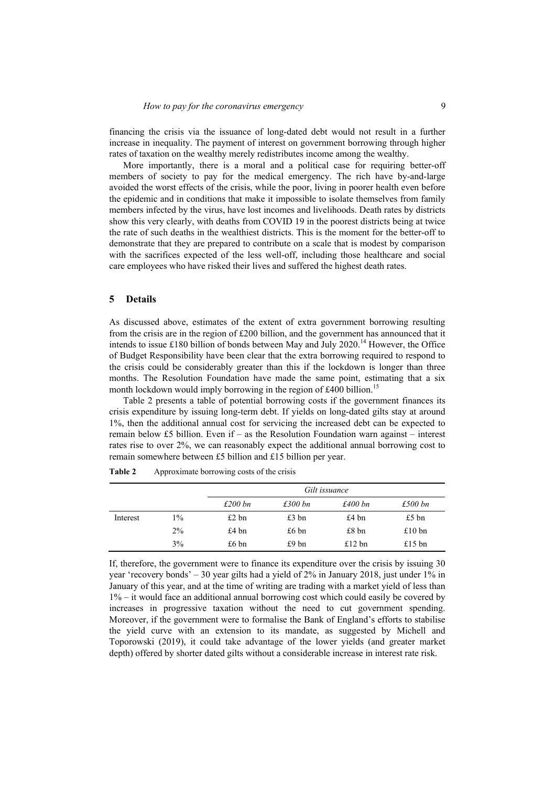financing the crisis via the issuance of long-dated debt would not result in a further increase in inequality. The payment of interest on government borrowing through higher rates of taxation on the wealthy merely redistributes income among the wealthy.

More importantly, there is a moral and a political case for requiring better-off members of society to pay for the medical emergency. The rich have by-and-large avoided the worst effects of the crisis, while the poor, living in poorer health even before the epidemic and in conditions that make it impossible to isolate themselves from family members infected by the virus, have lost incomes and livelihoods. Death rates by districts show this very clearly, with deaths from COVID 19 in the poorest districts being at twice the rate of such deaths in the wealthiest districts. This is the moment for the better-off to demonstrate that they are prepared to contribute on a scale that is modest by comparison with the sacrifices expected of the less well-off, including those healthcare and social care employees who have risked their lives and suffered the highest death rates.

#### **5 Details**

As discussed above, estimates of the extent of extra government borrowing resulting from the crisis are in the region of £200 billion, and the government has announced that it intends to issue £180 billion of bonds between May and July 2020.<sup>14</sup> However, the Office of Budget Responsibility have been clear that the extra borrowing required to respond to the crisis could be considerably greater than this if the lockdown is longer than three months. The Resolution Foundation have made the same point, estimating that a six month lockdown would imply borrowing in the region of  $\text{\pounds}400$  billion.<sup>15</sup>

Table 2 presents a table of potential borrowing costs if the government finances its crisis expenditure by issuing long-term debt. If yields on long-dated gilts stay at around 1%, then the additional annual cost for servicing the increased debt can be expected to remain below £5 billion. Even if – as the Resolution Foundation warn against – interest rates rise to over 2%, we can reasonably expect the additional annual borrowing cost to remain somewhere between £5 billion and £15 billion per year.

|          |       | Gilt issuance   |                 |                   |          |
|----------|-------|-----------------|-----------------|-------------------|----------|
|          |       | £200 bn         | £300 bn         | £400 bn           | £500 bn  |
| Interest | 1%    | $£2$ bn         | $£3$ bn         | £4 b <sub>n</sub> | £5 bn    |
|          | $2\%$ | $£4 \text{ bn}$ | $£6 \text{ bn}$ | £8 <sub>bn</sub>  | £10 $bn$ |
|          | 3%    | $£6 \text{ bn}$ | £9 bn           | £12 $bn$          | £15 $bn$ |

| <b>Table 2</b> | Approximate borrowing costs of the crisis |  |  |
|----------------|-------------------------------------------|--|--|
|                |                                           |  |  |

If, therefore, the government were to finance its expenditure over the crisis by issuing 30 year 'recovery bonds' – 30 year gilts had a yield of 2% in January 2018, just under 1% in January of this year, and at the time of writing are trading with a market yield of less than  $1\%$  – it would face an additional annual borrowing cost which could easily be covered by increases in progressive taxation without the need to cut government spending. Moreover, if the government were to formalise the Bank of England's efforts to stabilise the yield curve with an extension to its mandate, as suggested by Michell and Toporowski (2019), it could take advantage of the lower yields (and greater market depth) offered by shorter dated gilts without a considerable increase in interest rate risk.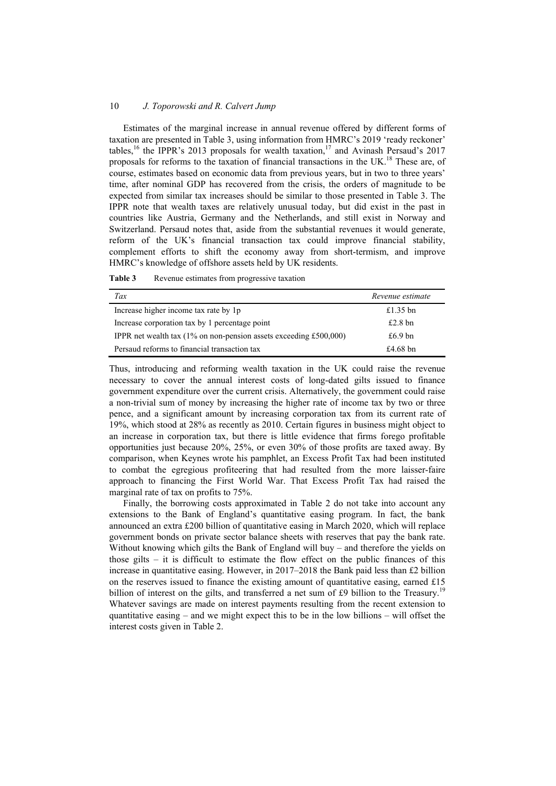Estimates of the marginal increase in annual revenue offered by different forms of taxation are presented in Table 3, using information from HMRC's 2019 'ready reckoner' tables,<sup>16</sup> the IPPR's 2013 proposals for wealth taxation,<sup>17</sup> and Avinash Persaud's 2017 proposals for reforms to the taxation of financial transactions in the  $UK.^{18}$  These are, of course, estimates based on economic data from previous years, but in two to three years' time, after nominal GDP has recovered from the crisis, the orders of magnitude to be expected from similar tax increases should be similar to those presented in Table 3. The IPPR note that wealth taxes are relatively unusual today, but did exist in the past in countries like Austria, Germany and the Netherlands, and still exist in Norway and Switzerland. Persaud notes that, aside from the substantial revenues it would generate, reform of the UK's financial transaction tax could improve financial stability, complement efforts to shift the economy away from short-termism, and improve HMRC's knowledge of offshore assets held by UK residents.

| Tax                                                               | Revenue estimate |
|-------------------------------------------------------------------|------------------|
| Increase higher income tax rate by 1p                             | £1.35 bn         |
| Increase corporation tax by 1 percentage point                    | $£2.8$ bn        |
| IPPR net wealth tax (1% on non-pension assets exceeding £500,000) | £6.9 $bn$        |
| Persaud reforms to financial transaction tax                      | $£4.68$ bn       |

Thus, introducing and reforming wealth taxation in the UK could raise the revenue necessary to cover the annual interest costs of long-dated gilts issued to finance government expenditure over the current crisis. Alternatively, the government could raise a non-trivial sum of money by increasing the higher rate of income tax by two or three pence, and a significant amount by increasing corporation tax from its current rate of 19%, which stood at 28% as recently as 2010. Certain figures in business might object to an increase in corporation tax, but there is little evidence that firms forego profitable opportunities just because 20%, 25%, or even 30% of those profits are taxed away. By comparison, when Keynes wrote his pamphlet, an Excess Profit Tax had been instituted to combat the egregious profiteering that had resulted from the more laisser-faire approach to financing the First World War. That Excess Profit Tax had raised the marginal rate of tax on profits to 75%.

Finally, the borrowing costs approximated in Table 2 do not take into account any extensions to the Bank of England's quantitative easing program. In fact, the bank announced an extra £200 billion of quantitative easing in March 2020, which will replace government bonds on private sector balance sheets with reserves that pay the bank rate. Without knowing which gilts the Bank of England will buy – and therefore the yields on those gilts  $-$  it is difficult to estimate the flow effect on the public finances of this increase in quantitative easing. However, in 2017–2018 the Bank paid less than £2 billion on the reserves issued to finance the existing amount of quantitative easing, earned  $£15$ billion of interest on the gilts, and transferred a net sum of £9 billion to the Treasury.<sup>19</sup> Whatever savings are made on interest payments resulting from the recent extension to quantitative easing – and we might expect this to be in the low billions – will offset the interest costs given in Table 2.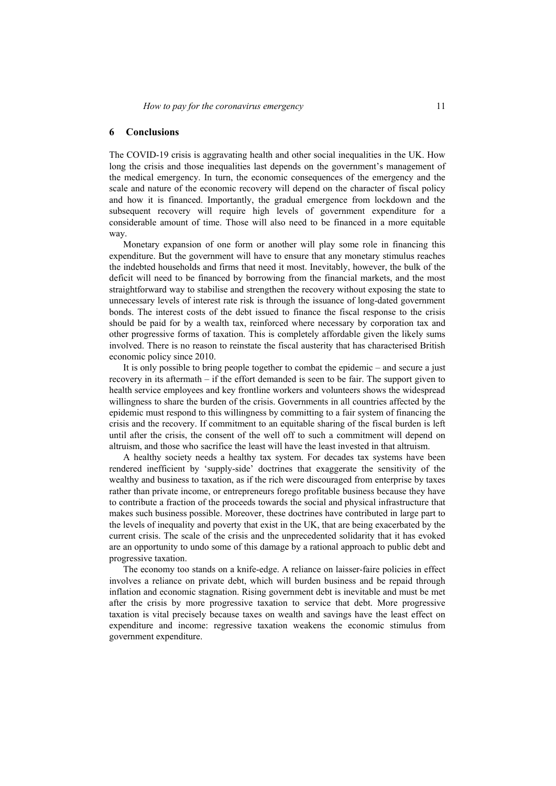## **6 Conclusions**

The COVID-19 crisis is aggravating health and other social inequalities in the UK. How long the crisis and those inequalities last depends on the government's management of the medical emergency. In turn, the economic consequences of the emergency and the scale and nature of the economic recovery will depend on the character of fiscal policy and how it is financed. Importantly, the gradual emergence from lockdown and the subsequent recovery will require high levels of government expenditure for a considerable amount of time. Those will also need to be financed in a more equitable way.

Monetary expansion of one form or another will play some role in financing this expenditure. But the government will have to ensure that any monetary stimulus reaches the indebted households and firms that need it most. Inevitably, however, the bulk of the deficit will need to be financed by borrowing from the financial markets, and the most straightforward way to stabilise and strengthen the recovery without exposing the state to unnecessary levels of interest rate risk is through the issuance of long-dated government bonds. The interest costs of the debt issued to finance the fiscal response to the crisis should be paid for by a wealth tax, reinforced where necessary by corporation tax and other progressive forms of taxation. This is completely affordable given the likely sums involved. There is no reason to reinstate the fiscal austerity that has characterised British economic policy since 2010.

It is only possible to bring people together to combat the epidemic – and secure a just recovery in its aftermath – if the effort demanded is seen to be fair. The support given to health service employees and key frontline workers and volunteers shows the widespread willingness to share the burden of the crisis. Governments in all countries affected by the epidemic must respond to this willingness by committing to a fair system of financing the crisis and the recovery. If commitment to an equitable sharing of the fiscal burden is left until after the crisis, the consent of the well off to such a commitment will depend on altruism, and those who sacrifice the least will have the least invested in that altruism.

A healthy society needs a healthy tax system. For decades tax systems have been rendered inefficient by 'supply-side' doctrines that exaggerate the sensitivity of the wealthy and business to taxation, as if the rich were discouraged from enterprise by taxes rather than private income, or entrepreneurs forego profitable business because they have to contribute a fraction of the proceeds towards the social and physical infrastructure that makes such business possible. Moreover, these doctrines have contributed in large part to the levels of inequality and poverty that exist in the UK, that are being exacerbated by the current crisis. The scale of the crisis and the unprecedented solidarity that it has evoked are an opportunity to undo some of this damage by a rational approach to public debt and progressive taxation.

The economy too stands on a knife-edge. A reliance on laisser-faire policies in effect involves a reliance on private debt, which will burden business and be repaid through inflation and economic stagnation. Rising government debt is inevitable and must be met after the crisis by more progressive taxation to service that debt. More progressive taxation is vital precisely because taxes on wealth and savings have the least effect on expenditure and income: regressive taxation weakens the economic stimulus from government expenditure.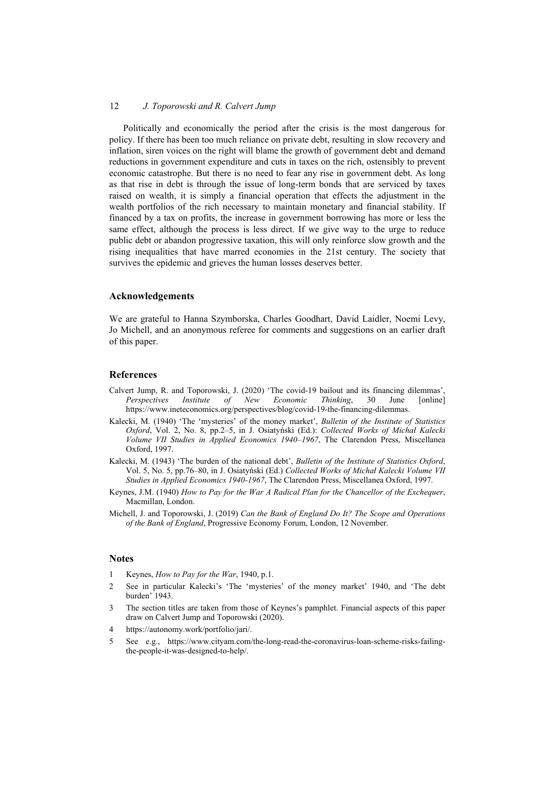Politically and economically the period after the crisis is the most dangerous for policy. If there has been too much reliance on private debt, resulting in slow recovery and inflation, siren voices on the right will blame the growth of government debt and demand reductions in government expenditure and cuts in taxes on the rich, ostensibly to prevent economic catastrophe. But there is no need to fear any rise in government debt. As long as that rise in debt is through the issue of long-term bonds that are serviced by taxes raised on wealth, it is simply a financial operation that effects the adjustment in the wealth portfolios of the rich necessary to maintain monetary and financial stability. If financed by a tax on profits, the increase in government borrowing has more or less the same effect, although the process is less direct. If we give way to the urge to reduce public debt or abandon progressive taxation, this will only reinforce slow growth and the rising inequalities that have marred economies in the 21st century. The society that survives the epidemic and grieves the human losses deserves better.

## **Acknowledgements**

We are grateful to Hanna Szymborska, Charles Goodhart, David Laidler, Noemi Levy, Jo Michell, and an anonymous referee for comments and suggestions on an earlier draft of this paper.

# **References**

- Calvert Jump, R. and Toporowski, J. (2020) 'The covid-19 bailout and its financing dilemmas', *Perspectives Institute of New Economic Thinking*, 30 June [online] https://www.ineteconomics.org/perspectives/blog/covid-19-the-financing-dilemmas.
- Kalecki, M. (1940) 'The 'mysteries' of the money market', *Bulletin of the Institute of Statistics Oxford*, Vol. 2, No. 8, pp.2–5, in J. Osiatyński (Ed.): *Collected Works of Michał Kalecki Volume VII Studies in Applied Economics 1940–1967*, The Clarendon Press, Miscellanea Oxford, 1997.
- Kalecki, M. (1943) 'The burden of the national debt', *Bulletin of the Institute of Statistics Oxford*, Vol. 5, No. 5, pp.76–80, in J. Osiatyński (Ed.) *Collected Works of Michał Kalecki Volume VII Studies in Applied Economics 1940-1967*, The Clarendon Press, Miscellanea Oxford, 1997.
- Keynes, J.M. (1940) *How to Pay for the War A Radical Plan for the Chancellor of the Exchequer*, Macmillan, London.
- Michell, J. and Toporowski, J. (2019) *Can the Bank of England Do It? The Scope and Operations of the Bank of England*, Progressive Economy Forum, London, 12 November.

#### **Notes**

- 1 Keynes, *How to Pay for the War*, 1940, p.1.
- 2 See in particular Kalecki's 'The 'mysteries' of the money market' 1940, and 'The debt burden' 1943.
- 3 The section titles are taken from those of Keynes's pamphlet. Financial aspects of this paper draw on Calvert Jump and Toporowski (2020).
- 4 https://autonomy.work/portfolio/jari/.
- 5 See e.g., https://www.cityam.com/the-long-read-the-coronavirus-loan-scheme-risks-failingthe-people-it-was-designed-to-help/.